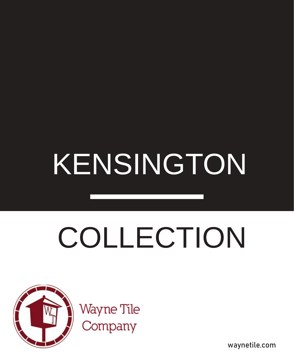## KENSINGTON

# COLLECTION



waynetile.com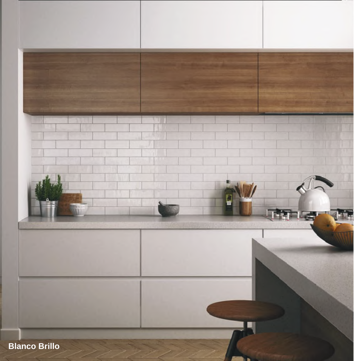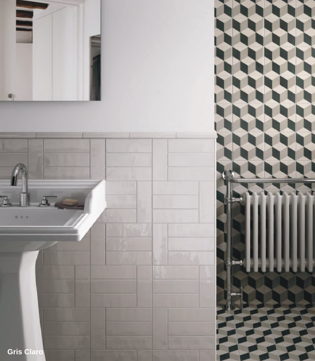



**Gris Claro**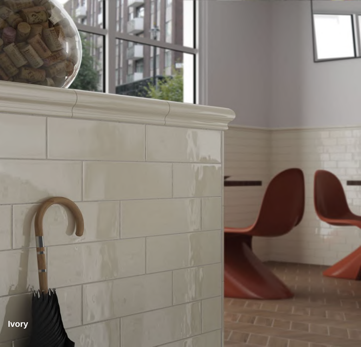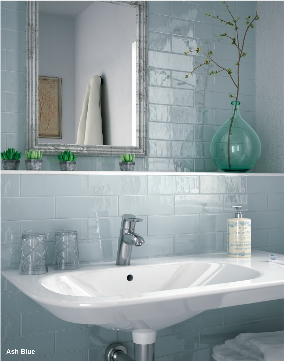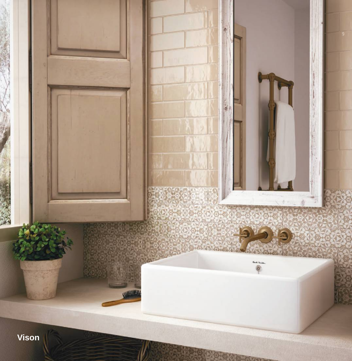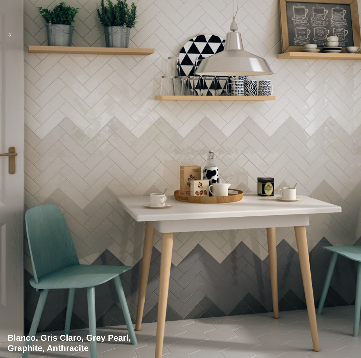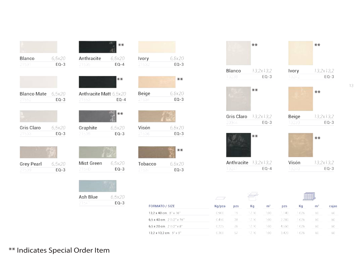| Blanco             | 6,5x20 | Anthracite          |
|--------------------|--------|---------------------|
| 21531              | $EQ-3$ | 21535               |
|                    |        |                     |
| <b>Blanco Mate</b> | 6,5x20 | <b>Anthracite M</b> |
| 21552              | $EO-3$ | 21553               |
|                    |        |                     |
| Gris Claro         | 6.5x20 | Graphite            |
| 21533              | $EQ-3$ | 21538               |
|                    |        |                     |
| <b>Grey Pearl</b>  | 6,5x20 | <b>Mist Green</b>   |
| 21539              | $EO-3$ | 21540               |
|                    |        |                     |

|                                        | $**$               |
|----------------------------------------|--------------------|
| Anthracite<br>21535                    | 6,5x20<br>$EQ - 4$ |
|                                        |                    |
|                                        | $**$               |
| <b>Anthracite Matt</b> 6,5x20<br>21553 | $EO-4$             |
|                                        |                    |
|                                        | $**$               |
| Graphite                               | 6,5x20             |
| 21538                                  | $EQ-3$             |
|                                        |                    |
| Mist Green                             | 6,5x20             |
| 21540                                  | $EQ-3$             |



| Ivory   | 6,5x20 |
|---------|--------|
| 21532   | $EO-3$ |
|         |        |
|         | $***$  |
| Beige   | 6,5x20 |
| 21534   | $EQ-3$ |
|         |        |
|         |        |
| Visón   | 6,5x20 |
| 21536   | $EQ-3$ |
|         |        |
|         | $**$   |
| Tobacco | 6,5x20 |
| 21537   | $EQ-3$ |
|         |        |

|                      | $***$               |                |
|----------------------|---------------------|----------------|
| Blanco<br>13238      | 13,2x13,2<br>$EO-3$ | Ivory<br>13242 |
|                      | $**$                |                |
| Gris Claro 13,2x13,2 |                     | Beige          |
| 20944                | $EO-3$              | 13239          |
|                      | $***$               |                |
| Anthracite 13,2x13,2 |                     | Visón          |

\*\* 13,2x13,2  $EQ-3$ \*\* 13,2x13,2  $EQ-3$ \*\*

 $13\,$ 





| <b>FORMATO / SIZE</b>              |        |            |       |                |            |       |                |       |  |
|------------------------------------|--------|------------|-------|----------------|------------|-------|----------------|-------|--|
|                                    | Kg/pza | <b>DZS</b> | Kq    | m <sup>2</sup> | <b>DZS</b> | Kq    | m <sup>2</sup> | cajas |  |
| 13.2 x 40 cm. $5" \times 16"$      | 0.900  | 19         | 17.10 | 1.00           | 1.140      | 1.026 | 60             | 60    |  |
| 6.5 x 40 cm. $2 \frac{1}{2}$ x 16" | 0.450  | 38         | 17.10 | 1.00           | 2.280      | 1.026 | 60             | 60    |  |
| 6,5 x 20 cm. 2 1/2" x 8"           | 0.225  | 76         | 17.10 | 1.00.          | 4.560      | 1.026 | 60             | 60    |  |
| 13.2 x 13.2 cm. $5'' \times 5''$   | 0.300  | 57         | -1710 | 1.00.          | 3.420      | 1.026 | 60             | 60    |  |

\*\* Indicates Special Order Item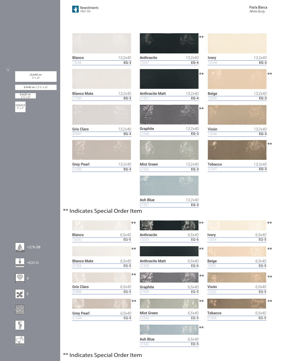$\mathcal{H}$ Revestimiento *Wall tile*



#### \*\* Indicates Special Order Item



\*\* Indicates Special Order Item



13,2x40 cm.

 $\bigtriangledown$